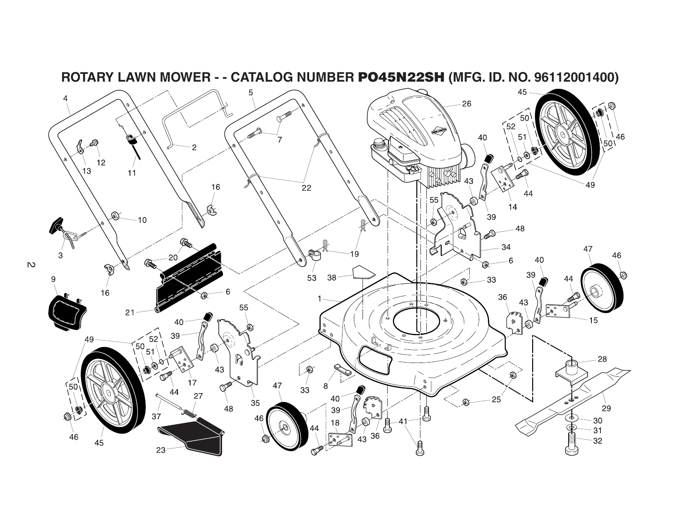

**ROTARY LAWN MOWER - - CATALOG NUMBER PO45N22SH (MFG. ID. NO. 96112001400)**